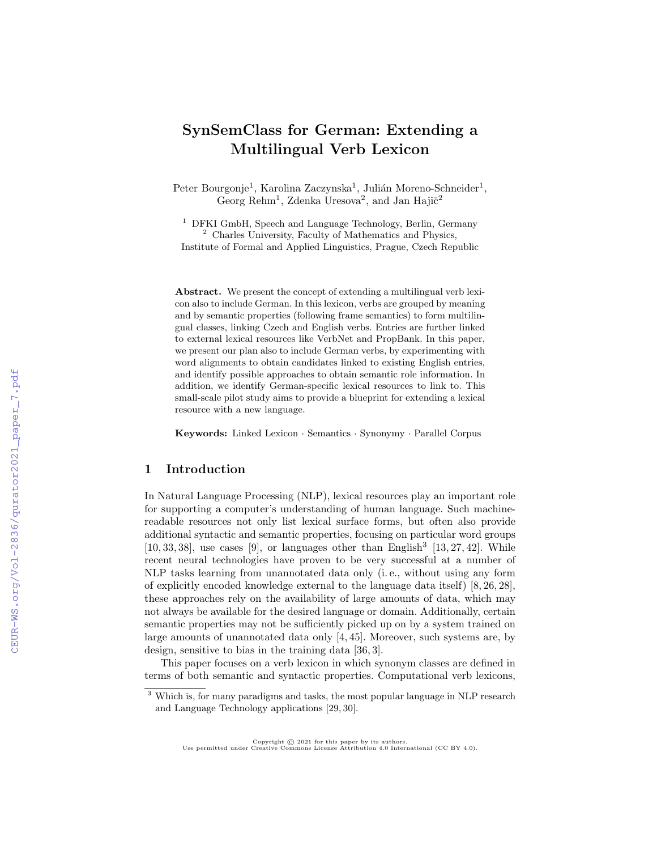# SynSemClass for German: Extending a Multilingual Verb Lexicon

Peter Bourgonje<sup>1</sup>, Karolina Zaczynska<sup>1</sup>, Julián Moreno-Schneider<sup>1</sup>, Georg Rehm<sup>1</sup>, Zdenka Uresova<sup>2</sup>, and Jan Hajič<sup>2</sup>

<sup>1</sup> DFKI GmbH, Speech and Language Technology, Berlin, Germany <sup>2</sup> Charles University, Faculty of Mathematics and Physics, Institute of Formal and Applied Linguistics, Prague, Czech Republic

Abstract. We present the concept of extending a multilingual verb lexicon also to include German. In this lexicon, verbs are grouped by meaning and by semantic properties (following frame semantics) to form multilingual classes, linking Czech and English verbs. Entries are further linked to external lexical resources like VerbNet and PropBank. In this paper, we present our plan also to include German verbs, by experimenting with word alignments to obtain candidates linked to existing English entries, and identify possible approaches to obtain semantic role information. In addition, we identify German-specific lexical resources to link to. This small-scale pilot study aims to provide a blueprint for extending a lexical resource with a new language.

Keywords: Linked Lexicon · Semantics · Synonymy · Parallel Corpus

## 1 Introduction

In Natural Language Processing (NLP), lexical resources play an important role for supporting a computer's understanding of human language. Such machinereadable resources not only list lexical surface forms, but often also provide additional syntactic and semantic properties, focusing on particular word groups [10, 33, 38], use cases [9], or languages other than English<sup>3</sup> [13, 27, 42]. While recent neural technologies have proven to be very successful at a number of NLP tasks learning from unannotated data only (i. e., without using any form of explicitly encoded knowledge external to the language data itself) [8, 26, 28], these approaches rely on the availability of large amounts of data, which may not always be available for the desired language or domain. Additionally, certain semantic properties may not be sufficiently picked up on by a system trained on large amounts of unannotated data only [4, 45]. Moreover, such systems are, by design, sensitive to bias in the training data [36, 3].

This paper focuses on a verb lexicon in which synonym classes are defined in terms of both semantic and syntactic properties. Computational verb lexicons,

Copyright © 2021 for this paper by its authors. Use permitted under Creative Commons License Attribution 4.0 International (CC BY 4.0).

<sup>&</sup>lt;sup>3</sup> Which is, for many paradigms and tasks, the most popular language in NLP research and Language Technology applications [29, 30].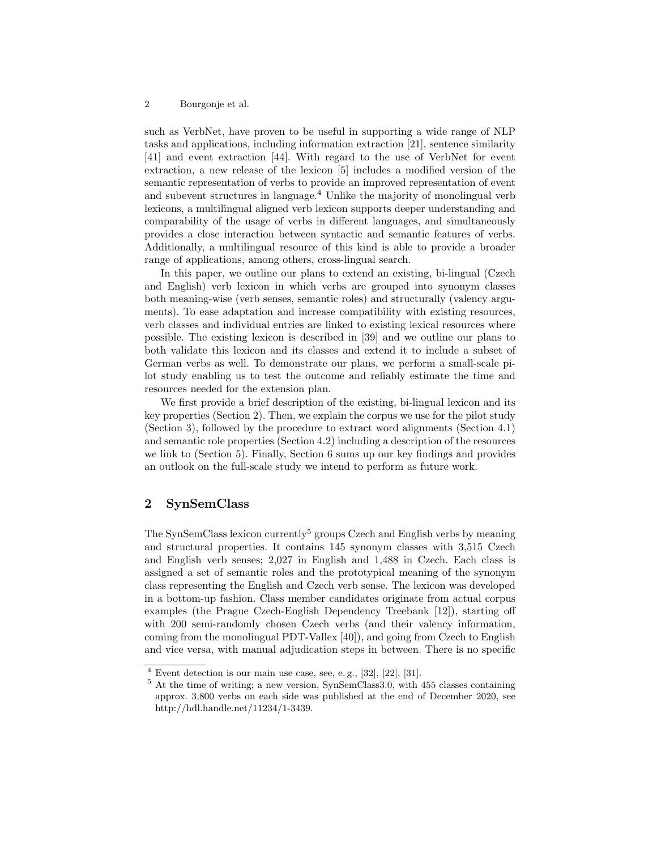such as VerbNet, have proven to be useful in supporting a wide range of NLP tasks and applications, including information extraction [21], sentence similarity [41] and event extraction [44]. With regard to the use of VerbNet for event extraction, a new release of the lexicon [5] includes a modified version of the semantic representation of verbs to provide an improved representation of event and subevent structures in language. $4$  Unlike the majority of monolingual verb lexicons, a multilingual aligned verb lexicon supports deeper understanding and comparability of the usage of verbs in different languages, and simultaneously provides a close interaction between syntactic and semantic features of verbs. Additionally, a multilingual resource of this kind is able to provide a broader range of applications, among others, cross-lingual search.

In this paper, we outline our plans to extend an existing, bi-lingual (Czech and English) verb lexicon in which verbs are grouped into synonym classes both meaning-wise (verb senses, semantic roles) and structurally (valency arguments). To ease adaptation and increase compatibility with existing resources, verb classes and individual entries are linked to existing lexical resources where possible. The existing lexicon is described in [39] and we outline our plans to both validate this lexicon and its classes and extend it to include a subset of German verbs as well. To demonstrate our plans, we perform a small-scale pilot study enabling us to test the outcome and reliably estimate the time and resources needed for the extension plan.

We first provide a brief description of the existing, bi-lingual lexicon and its key properties (Section 2). Then, we explain the corpus we use for the pilot study (Section 3), followed by the procedure to extract word alignments (Section 4.1) and semantic role properties (Section 4.2) including a description of the resources we link to (Section 5). Finally, Section 6 sums up our key findings and provides an outlook on the full-scale study we intend to perform as future work.

# 2 SynSemClass

The SynSemClass lexicon currently<sup>5</sup> groups Czech and English verbs by meaning and structural properties. It contains 145 synonym classes with 3,515 Czech and English verb senses; 2,027 in English and 1,488 in Czech. Each class is assigned a set of semantic roles and the prototypical meaning of the synonym class representing the English and Czech verb sense. The lexicon was developed in a bottom-up fashion. Class member candidates originate from actual corpus examples (the Prague Czech-English Dependency Treebank [12]), starting off with 200 semi-randomly chosen Czech verbs (and their valency information, coming from the monolingual PDT-Vallex [40]), and going from Czech to English and vice versa, with manual adjudication steps in between. There is no specific

 $4$  Event detection is our main use case, see, e.g.,  $[32]$ ,  $[22]$ ,  $[31]$ .

<sup>&</sup>lt;sup>5</sup> At the time of writing; a new version, SynSemClass3.0, with 455 classes containing approx. 3,800 verbs on each side was published at the end of December 2020, see http://hdl.handle.net/11234/1-3439.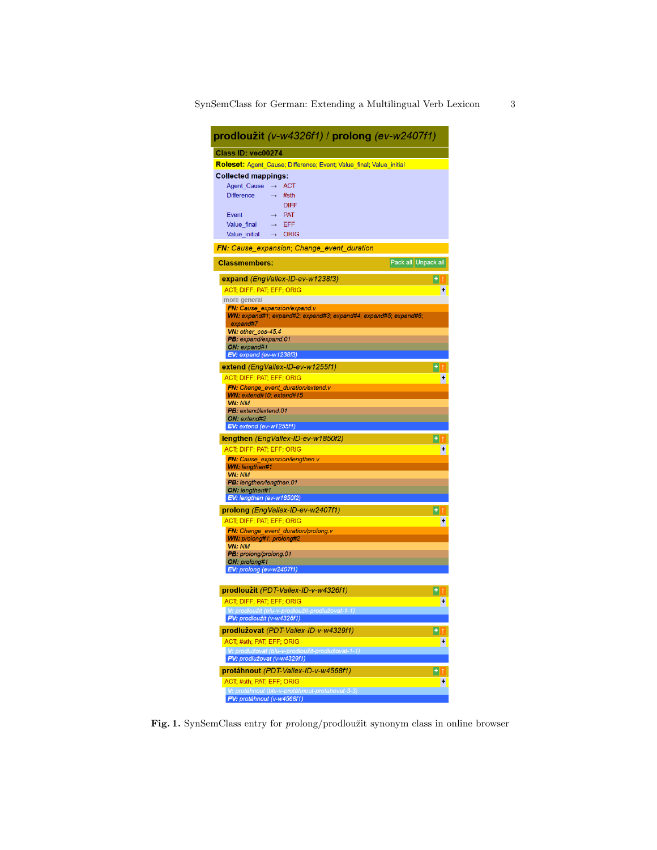| prodloužit (v-w4326f1) / prolong (ev-w2407f1)                                                                                                                                                                                                                                |                     |
|------------------------------------------------------------------------------------------------------------------------------------------------------------------------------------------------------------------------------------------------------------------------------|---------------------|
| Class ID: vec00274                                                                                                                                                                                                                                                           |                     |
| Roleset: Agent Cause; Difference; Event; Value final; Value initial                                                                                                                                                                                                          |                     |
| <b>Collected mappings:</b><br>Agent_Cause<br><b>ACT</b><br>$\rightarrow$<br><b>Difference</b><br>#sth<br>$\rightarrow$<br><b>DIFF</b><br>Event<br><b>PAT</b><br>$\rightarrow$<br>Value final<br><b>EFF</b><br>$\rightarrow$<br>Value initial<br><b>ORIG</b><br>$\rightarrow$ |                     |
| <b>FN:</b> Cause_expansion; Change_event_duration                                                                                                                                                                                                                            |                     |
| <b>Classmembers:</b>                                                                                                                                                                                                                                                         | Pack all Unpack all |
| expand (EngVallex-ID-ev-w1238f3)                                                                                                                                                                                                                                             |                     |
| ACT; DIFF; PAT; EFF; ORIG                                                                                                                                                                                                                                                    |                     |
| more general                                                                                                                                                                                                                                                                 |                     |
| <b>FN:</b> Cause_expansion/expand.v<br>WN: expand#1; expand#2; expand#3; expand#4; expand#5; expand#6;                                                                                                                                                                       |                     |
| expand#7                                                                                                                                                                                                                                                                     |                     |
| VN: other_cos-45.4<br>PB: expand/expand.01                                                                                                                                                                                                                                   |                     |
| ON: expand#1                                                                                                                                                                                                                                                                 |                     |
| <b>EV:</b> expand (ev-w1238f3)                                                                                                                                                                                                                                               |                     |
| extend (EngVallex-ID-ev-w1255f1)                                                                                                                                                                                                                                             |                     |
| <b>ACT: DIFF: PAT: EFF: ORIG</b>                                                                                                                                                                                                                                             |                     |
| FN: Change event duration/extend.v                                                                                                                                                                                                                                           |                     |
| WN: extend#10; extend#15<br><b>VN: NM</b>                                                                                                                                                                                                                                    |                     |
| PB: extend/extend.01                                                                                                                                                                                                                                                         |                     |
| ON: extend#2<br>EV: extend (ev-w1255f1)                                                                                                                                                                                                                                      |                     |
| lengthen (EngVallex-ID-ev-w1850f2)                                                                                                                                                                                                                                           |                     |
| ACT; DIFF; PAT; EFF; ORIG                                                                                                                                                                                                                                                    |                     |
| <b>FN: Cause_expansion/lengthen.v</b>                                                                                                                                                                                                                                        |                     |
| <b>WN: lengthen#1</b>                                                                                                                                                                                                                                                        |                     |
| <b>VN: NM</b><br>PB: lengthen/lengthen.01                                                                                                                                                                                                                                    |                     |
| ON: lengthen#1                                                                                                                                                                                                                                                               |                     |
| EV: lengthen (ev-w1850f2)                                                                                                                                                                                                                                                    |                     |
| prolong (EngVallex-ID-ev-w2407f1)                                                                                                                                                                                                                                            | ۰                   |
| ACT; DIFF; PAT; EFF; ORIG                                                                                                                                                                                                                                                    |                     |
| FN: Change_event_duration/prolong.v                                                                                                                                                                                                                                          |                     |
| WN: prolong#1; prolong#2<br>VN: NM                                                                                                                                                                                                                                           |                     |
| <b>PB:</b> prolong/prolong.01                                                                                                                                                                                                                                                |                     |
| ON: prolong#1<br>EV: prolong (ev-w2407f1)                                                                                                                                                                                                                                    |                     |
|                                                                                                                                                                                                                                                                              |                     |
| prodloužit (PDT-Vallex-ID-v-w4326f1)                                                                                                                                                                                                                                         |                     |
| ACT; DIFF; PAT; EFF; ORIG                                                                                                                                                                                                                                                    |                     |
| prodloužit (blu-v-prodloužit-prodluž                                                                                                                                                                                                                                         |                     |
| PV: prodloužit (v-w4326f1)                                                                                                                                                                                                                                                   |                     |
| prodlužovat (PDT-Vallex-ID-v-w4329f1)                                                                                                                                                                                                                                        |                     |
| ACT; #sth; PAT; EFF; ORIG                                                                                                                                                                                                                                                    |                     |
| !: prodlužovat (blu-v-prodloužit-prodlužovat-1-1)<br>PV: prodlužovat (v-w4329f1)                                                                                                                                                                                             |                     |
| protáhnout (PDT-Vallex-ID-v-w4568f1)                                                                                                                                                                                                                                         |                     |
| <b>ACT: #sth: PAT: EFF: ORIG</b>                                                                                                                                                                                                                                             | ٠                   |
| V: protáhnout (blu-v-protáhnout-protahovat-3-3)                                                                                                                                                                                                                              |                     |
| PV: protáhnout (v-w4568f1)                                                                                                                                                                                                                                                   |                     |

 ${\bf Fig. 1.}$  SynSemClass entry for  $p$ rolong/prodloužit synonym class in online browser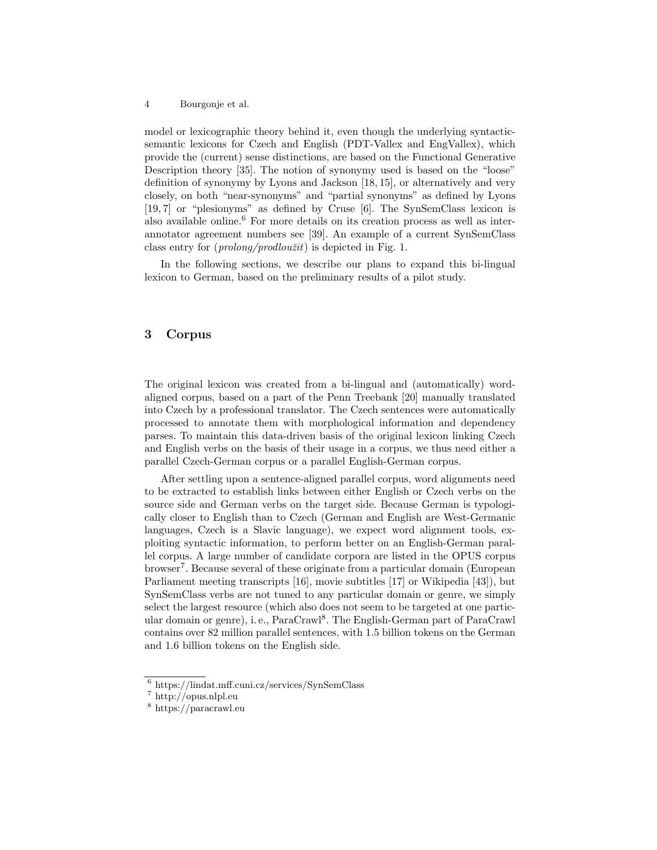model or lexicographic theory behind it, even though the underlying syntacticsemantic lexicons for Czech and English (PDT-Vallex and EngVallex), which provide the (current) sense distinctions, are based on the Functional Generative Description theory [35]. The notion of synonymy used is based on the "loose" definition of synonymy by Lyons and Jackson [18, 15], or alternatively and very closely, on both "near-synonyms" and "partial synonyms" as defined by Lyons [19, 7] or "plesionyms" as defined by Cruse [6]. The SynSemClass lexicon is also available online.<sup>6</sup> For more details on its creation process as well as interannotator agreement numbers see [39]. An example of a current SynSemClass class entry for  $(prolonq/prodloužit)$  is depicted in Fig. 1.

In the following sections, we describe our plans to expand this bi-lingual lexicon to German, based on the preliminary results of a pilot study.

# 3 Corpus

The original lexicon was created from a bi-lingual and (automatically) wordaligned corpus, based on a part of the Penn Treebank [20] manually translated into Czech by a professional translator. The Czech sentences were automatically processed to annotate them with morphological information and dependency parses. To maintain this data-driven basis of the original lexicon linking Czech and English verbs on the basis of their usage in a corpus, we thus need either a parallel Czech-German corpus or a parallel English-German corpus.

After settling upon a sentence-aligned parallel corpus, word alignments need to be extracted to establish links between either English or Czech verbs on the source side and German verbs on the target side. Because German is typologically closer to English than to Czech (German and English are West-Germanic languages, Czech is a Slavic language), we expect word alignment tools, exploiting syntactic information, to perform better on an English-German parallel corpus. A large number of candidate corpora are listed in the OPUS corpus browser<sup>7</sup>. Because several of these originate from a particular domain (European Parliament meeting transcripts [16], movie subtitles [17] or Wikipedia [43]), but SynSemClass verbs are not tuned to any particular domain or genre, we simply select the largest resource (which also does not seem to be targeted at one particular domain or genre), i. e., ParaCrawl<sup>8</sup>. The English-German part of ParaCrawl contains over 82 million parallel sentences, with 1.5 billion tokens on the German and 1.6 billion tokens on the English side.

<sup>6</sup> https://lindat.mff.cuni.cz/services/SynSemClass

<sup>7</sup> http://opus.nlpl.eu

<sup>8</sup> https://paracrawl.eu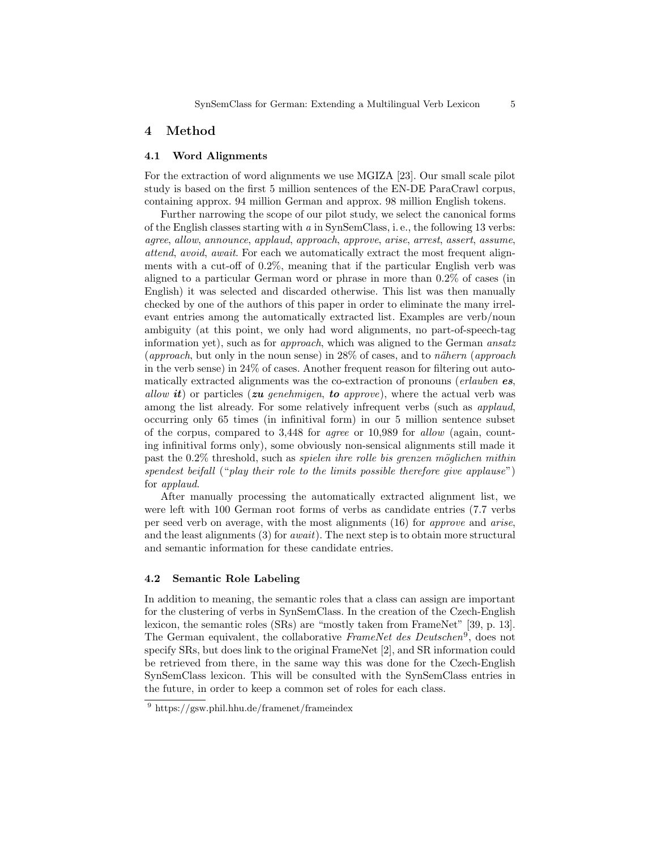## 4 Method

#### 4.1 Word Alignments

For the extraction of word alignments we use MGIZA [23]. Our small scale pilot study is based on the first 5 million sentences of the EN-DE ParaCrawl corpus, containing approx. 94 million German and approx. 98 million English tokens.

Further narrowing the scope of our pilot study, we select the canonical forms of the English classes starting with  $a$  in SynSemClass, i.e., the following 13 verbs: agree, allow, announce, applaud, approach, approve, arise, arrest, assert, assume, attend, avoid, await. For each we automatically extract the most frequent alignments with a cut-off of 0.2%, meaning that if the particular English verb was aligned to a particular German word or phrase in more than 0.2% of cases (in English) it was selected and discarded otherwise. This list was then manually checked by one of the authors of this paper in order to eliminate the many irrelevant entries among the automatically extracted list. Examples are verb/noun ambiguity (at this point, we only had word alignments, no part-of-speech-tag information yet), such as for *approach*, which was aligned to the German *ansatz* (approach, but only in the noun sense) in  $28\%$  of cases, and to nähern (approach in the verb sense) in 24% of cases. Another frequent reason for filtering out automatically extracted alignments was the co-extraction of pronouns (*erlauben es*, allow  $it$ ) or particles (zu genehmigen, to approve), where the actual verb was among the list already. For some relatively infrequent verbs (such as applaud, occurring only 65 times (in infinitival form) in our 5 million sentence subset of the corpus, compared to 3,448 for agree or 10,989 for allow (again, counting infinitival forms only), some obviously non-sensical alignments still made it past the  $0.2\%$  threshold, such as *spielen ihre rolle bis grenzen möglichen mithin* spendest beifall ("play their role to the limits possible therefore give applause") for applaud.

After manually processing the automatically extracted alignment list, we were left with 100 German root forms of verbs as candidate entries (7.7 verbs per seed verb on average, with the most alignments (16) for approve and arise, and the least alignments  $(3)$  for *await*). The next step is to obtain more structural and semantic information for these candidate entries.

### 4.2 Semantic Role Labeling

In addition to meaning, the semantic roles that a class can assign are important for the clustering of verbs in SynSemClass. In the creation of the Czech-English lexicon, the semantic roles (SRs) are "mostly taken from FrameNet" [39, p. 13]. The German equivalent, the collaborative FrameNet des Deutschen<sup>9</sup>, does not specify SRs, but does link to the original FrameNet [2], and SR information could be retrieved from there, in the same way this was done for the Czech-English SynSemClass lexicon. This will be consulted with the SynSemClass entries in the future, in order to keep a common set of roles for each class.

<sup>&</sup>lt;sup>9</sup> https://gsw.phil.hhu.de/framenet/frameindex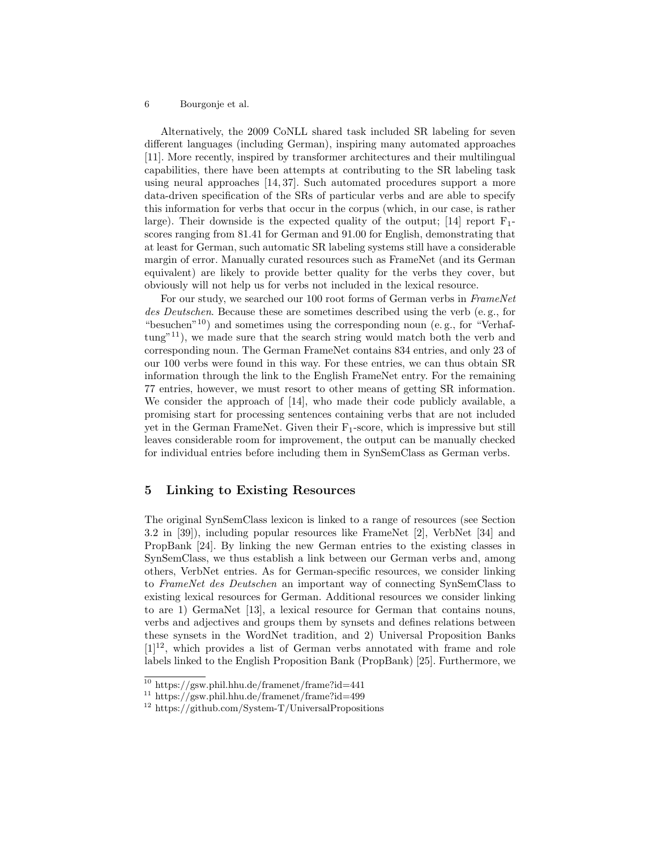Alternatively, the 2009 CoNLL shared task included SR labeling for seven different languages (including German), inspiring many automated approaches [11]. More recently, inspired by transformer architectures and their multilingual capabilities, there have been attempts at contributing to the SR labeling task using neural approaches [14, 37]. Such automated procedures support a more data-driven specification of the SRs of particular verbs and are able to specify this information for verbs that occur in the corpus (which, in our case, is rather large). Their downside is the expected quality of the output; [14] report  $F_1$ scores ranging from 81.41 for German and 91.00 for English, demonstrating that at least for German, such automatic SR labeling systems still have a considerable margin of error. Manually curated resources such as FrameNet (and its German equivalent) are likely to provide better quality for the verbs they cover, but obviously will not help us for verbs not included in the lexical resource.

For our study, we searched our 100 root forms of German verbs in FrameNet des Deutschen. Because these are sometimes described using the verb (e. g., for "besuchen"10) and sometimes using the corresponding noun (e. g., for "Verhaf $tung$ <sup>"11</sup>), we made sure that the search string would match both the verb and corresponding noun. The German FrameNet contains 834 entries, and only 23 of our 100 verbs were found in this way. For these entries, we can thus obtain SR information through the link to the English FrameNet entry. For the remaining 77 entries, however, we must resort to other means of getting SR information. We consider the approach of [14], who made their code publicly available, a promising start for processing sentences containing verbs that are not included yet in the German FrameNet. Given their  $F_1$ -score, which is impressive but still leaves considerable room for improvement, the output can be manually checked for individual entries before including them in SynSemClass as German verbs.

# 5 Linking to Existing Resources

The original SynSemClass lexicon is linked to a range of resources (see Section 3.2 in [39]), including popular resources like FrameNet [2], VerbNet [34] and PropBank [24]. By linking the new German entries to the existing classes in SynSemClass, we thus establish a link between our German verbs and, among others, VerbNet entries. As for German-specific resources, we consider linking to FrameNet des Deutschen an important way of connecting SynSemClass to existing lexical resources for German. Additional resources we consider linking to are 1) GermaNet [13], a lexical resource for German that contains nouns, verbs and adjectives and groups them by synsets and defines relations between these synsets in the WordNet tradition, and 2) Universal Proposition Banks  $[1]^{12}$ , which provides a list of German verbs annotated with frame and role labels linked to the English Proposition Bank (PropBank) [25]. Furthermore, we

<sup>10</sup> https://gsw.phil.hhu.de/framenet/frame?id=441

<sup>11</sup> https://gsw.phil.hhu.de/framenet/frame?id=499

<sup>12</sup> https://github.com/System-T/UniversalPropositions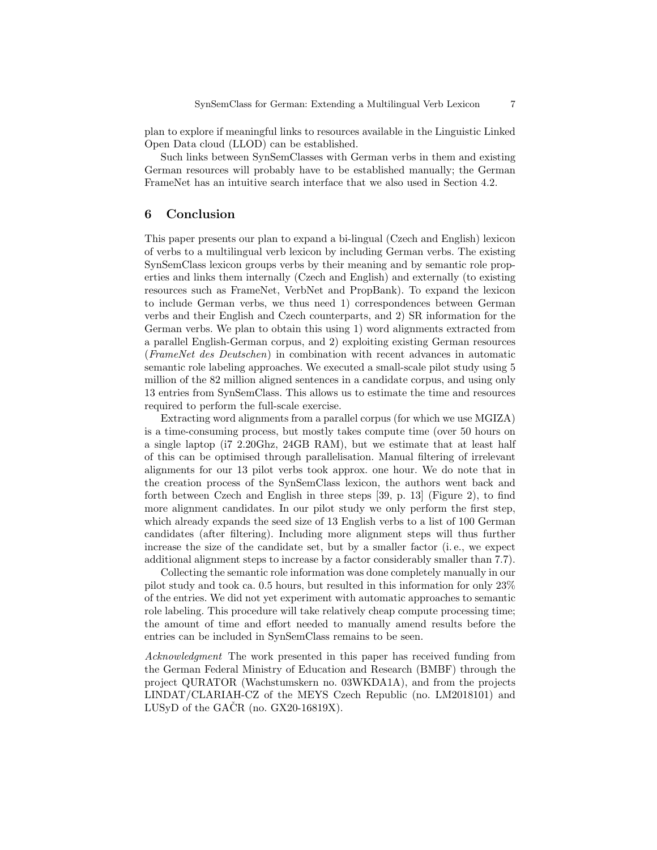plan to explore if meaningful links to resources available in the Linguistic Linked Open Data cloud (LLOD) can be established.

Such links between SynSemClasses with German verbs in them and existing German resources will probably have to be established manually; the German FrameNet has an intuitive search interface that we also used in Section 4.2.

## 6 Conclusion

This paper presents our plan to expand a bi-lingual (Czech and English) lexicon of verbs to a multilingual verb lexicon by including German verbs. The existing SynSemClass lexicon groups verbs by their meaning and by semantic role properties and links them internally (Czech and English) and externally (to existing resources such as FrameNet, VerbNet and PropBank). To expand the lexicon to include German verbs, we thus need 1) correspondences between German verbs and their English and Czech counterparts, and 2) SR information for the German verbs. We plan to obtain this using 1) word alignments extracted from a parallel English-German corpus, and 2) exploiting existing German resources (FrameNet des Deutschen) in combination with recent advances in automatic semantic role labeling approaches. We executed a small-scale pilot study using 5 million of the 82 million aligned sentences in a candidate corpus, and using only 13 entries from SynSemClass. This allows us to estimate the time and resources required to perform the full-scale exercise.

Extracting word alignments from a parallel corpus (for which we use MGIZA) is a time-consuming process, but mostly takes compute time (over 50 hours on a single laptop (i7 2.20Ghz, 24GB RAM), but we estimate that at least half of this can be optimised through parallelisation. Manual filtering of irrelevant alignments for our 13 pilot verbs took approx. one hour. We do note that in the creation process of the SynSemClass lexicon, the authors went back and forth between Czech and English in three steps [39, p. 13] (Figure 2), to find more alignment candidates. In our pilot study we only perform the first step, which already expands the seed size of 13 English verbs to a list of 100 German candidates (after filtering). Including more alignment steps will thus further increase the size of the candidate set, but by a smaller factor (i. e., we expect additional alignment steps to increase by a factor considerably smaller than 7.7).

Collecting the semantic role information was done completely manually in our pilot study and took ca. 0.5 hours, but resulted in this information for only 23% of the entries. We did not yet experiment with automatic approaches to semantic role labeling. This procedure will take relatively cheap compute processing time; the amount of time and effort needed to manually amend results before the entries can be included in SynSemClass remains to be seen.

Acknowledgment The work presented in this paper has received funding from the German Federal Ministry of Education and Research (BMBF) through the project QURATOR (Wachstumskern no. 03WKDA1A), and from the projects LINDAT/CLARIAH-CZ of the MEYS Czech Republic (no. LM2018101) and LUSyD of the GACR (no.  $GX20-16819X$ ).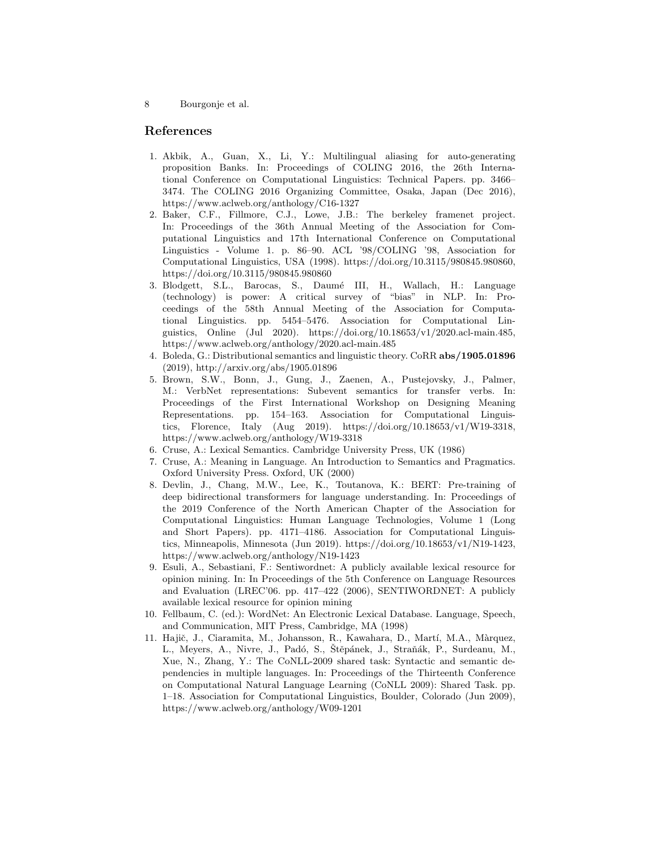## References

- 1. Akbik, A., Guan, X., Li, Y.: Multilingual aliasing for auto-generating proposition Banks. In: Proceedings of COLING 2016, the 26th International Conference on Computational Linguistics: Technical Papers. pp. 3466– 3474. The COLING 2016 Organizing Committee, Osaka, Japan (Dec 2016), https://www.aclweb.org/anthology/C16-1327
- 2. Baker, C.F., Fillmore, C.J., Lowe, J.B.: The berkeley framenet project. In: Proceedings of the 36th Annual Meeting of the Association for Computational Linguistics and 17th International Conference on Computational Linguistics - Volume 1. p. 86–90. ACL '98/COLING '98, Association for Computational Linguistics, USA (1998). https://doi.org/10.3115/980845.980860, https://doi.org/10.3115/980845.980860
- 3. Blodgett, S.L., Barocas, S., Daumé III, H., Wallach, H.: Language (technology) is power: A critical survey of "bias" in NLP. In: Proceedings of the 58th Annual Meeting of the Association for Computational Linguistics. pp. 5454–5476. Association for Computational Linguistics, Online (Jul 2020). https://doi.org/10.18653/v1/2020.acl-main.485, https://www.aclweb.org/anthology/2020.acl-main.485
- 4. Boleda, G.: Distributional semantics and linguistic theory. CoRR abs/1905.01896 (2019), http://arxiv.org/abs/1905.01896
- 5. Brown, S.W., Bonn, J., Gung, J., Zaenen, A., Pustejovsky, J., Palmer, M.: VerbNet representations: Subevent semantics for transfer verbs. In: Proceedings of the First International Workshop on Designing Meaning Representations. pp. 154–163. Association for Computational Linguistics, Florence, Italy (Aug 2019). https://doi.org/10.18653/v1/W19-3318, https://www.aclweb.org/anthology/W19-3318
- 6. Cruse, A.: Lexical Semantics. Cambridge University Press, UK (1986)
- 7. Cruse, A.: Meaning in Language. An Introduction to Semantics and Pragmatics. Oxford University Press. Oxford, UK (2000)
- 8. Devlin, J., Chang, M.W., Lee, K., Toutanova, K.: BERT: Pre-training of deep bidirectional transformers for language understanding. In: Proceedings of the 2019 Conference of the North American Chapter of the Association for Computational Linguistics: Human Language Technologies, Volume 1 (Long and Short Papers). pp. 4171–4186. Association for Computational Linguistics, Minneapolis, Minnesota (Jun 2019). https://doi.org/10.18653/v1/N19-1423, https://www.aclweb.org/anthology/N19-1423
- 9. Esuli, A., Sebastiani, F.: Sentiwordnet: A publicly available lexical resource for opinion mining. In: In Proceedings of the 5th Conference on Language Resources and Evaluation (LREC'06. pp. 417–422 (2006), SENTIWORDNET: A publicly available lexical resource for opinion mining
- 10. Fellbaum, C. (ed.): WordNet: An Electronic Lexical Database. Language, Speech, and Communication, MIT Press, Cambridge, MA (1998)
- 11. Hajič, J., Ciaramita, M., Johansson, R., Kawahara, D., Martí, M.A., Màrquez, L., Meyers, A., Nivre, J., Padó, S., Štěpánek, J., Straňák, P., Surdeanu, M., Xue, N., Zhang, Y.: The CoNLL-2009 shared task: Syntactic and semantic dependencies in multiple languages. In: Proceedings of the Thirteenth Conference on Computational Natural Language Learning (CoNLL 2009): Shared Task. pp. 1–18. Association for Computational Linguistics, Boulder, Colorado (Jun 2009), https://www.aclweb.org/anthology/W09-1201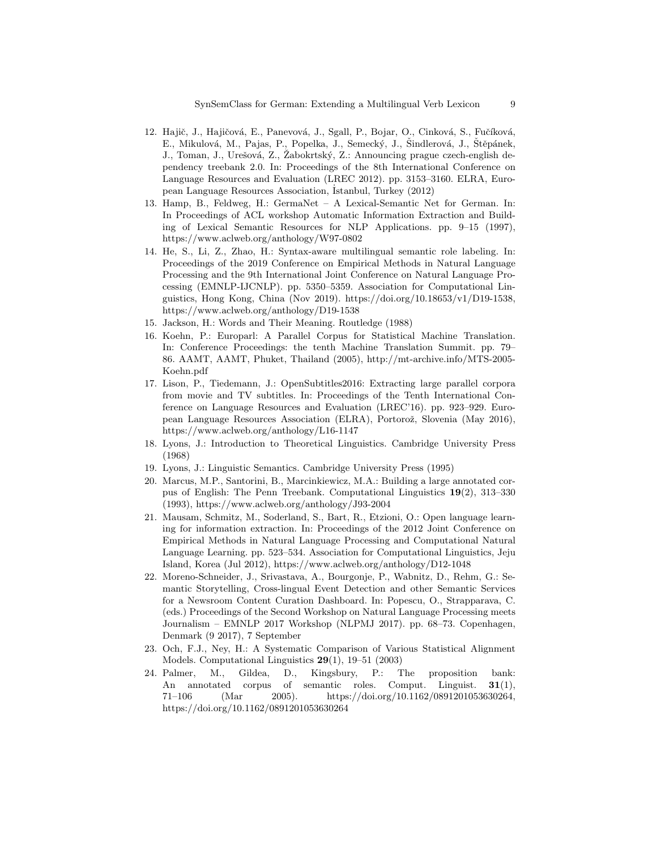- 12. Hajič, J., Hajičová, E., Panevová, J., Sgall, P., Bojar, O., Cinková, S., Fučíková, E., Mikulová, M., Pajas, P., Popelka, J., Semecký, J., Šindlerová, J., Štěpánek, J., Toman, J., Urešová, Z., Žabokrtský, Z.: Announcing prague czech-english dependency treebank 2.0. In: Proceedings of the 8th International Conference on Language Resources and Evaluation (LREC 2012). pp. 3153–3160. ELRA, European Language Resources Association, ˙Istanbul, Turkey (2012)
- 13. Hamp, B., Feldweg, H.: GermaNet A Lexical-Semantic Net for German. In: In Proceedings of ACL workshop Automatic Information Extraction and Building of Lexical Semantic Resources for NLP Applications. pp. 9–15 (1997), https://www.aclweb.org/anthology/W97-0802
- 14. He, S., Li, Z., Zhao, H.: Syntax-aware multilingual semantic role labeling. In: Proceedings of the 2019 Conference on Empirical Methods in Natural Language Processing and the 9th International Joint Conference on Natural Language Processing (EMNLP-IJCNLP). pp. 5350–5359. Association for Computational Linguistics, Hong Kong, China (Nov 2019). https://doi.org/10.18653/v1/D19-1538, https://www.aclweb.org/anthology/D19-1538
- 15. Jackson, H.: Words and Their Meaning. Routledge (1988)
- 16. Koehn, P.: Europarl: A Parallel Corpus for Statistical Machine Translation. In: Conference Proceedings: the tenth Machine Translation Summit. pp. 79– 86. AAMT, AAMT, Phuket, Thailand (2005), http://mt-archive.info/MTS-2005- Koehn.pdf
- 17. Lison, P., Tiedemann, J.: OpenSubtitles2016: Extracting large parallel corpora from movie and TV subtitles. In: Proceedings of the Tenth International Conference on Language Resources and Evaluation (LREC'16). pp. 923–929. European Language Resources Association (ELRA), Portorož, Slovenia (May 2016), https://www.aclweb.org/anthology/L16-1147
- 18. Lyons, J.: Introduction to Theoretical Linguistics. Cambridge University Press (1968)
- 19. Lyons, J.: Linguistic Semantics. Cambridge University Press (1995)
- 20. Marcus, M.P., Santorini, B., Marcinkiewicz, M.A.: Building a large annotated corpus of English: The Penn Treebank. Computational Linguistics 19(2), 313–330 (1993), https://www.aclweb.org/anthology/J93-2004
- 21. Mausam, Schmitz, M., Soderland, S., Bart, R., Etzioni, O.: Open language learning for information extraction. In: Proceedings of the 2012 Joint Conference on Empirical Methods in Natural Language Processing and Computational Natural Language Learning. pp. 523–534. Association for Computational Linguistics, Jeju Island, Korea (Jul 2012), https://www.aclweb.org/anthology/D12-1048
- 22. Moreno-Schneider, J., Srivastava, A., Bourgonje, P., Wabnitz, D., Rehm, G.: Semantic Storytelling, Cross-lingual Event Detection and other Semantic Services for a Newsroom Content Curation Dashboard. In: Popescu, O., Strapparava, C. (eds.) Proceedings of the Second Workshop on Natural Language Processing meets Journalism – EMNLP 2017 Workshop (NLPMJ 2017). pp. 68–73. Copenhagen, Denmark (9 2017), 7 September
- 23. Och, F.J., Ney, H.: A Systematic Comparison of Various Statistical Alignment Models. Computational Linguistics 29(1), 19–51 (2003)
- 24. Palmer, M., Gildea, D., Kingsbury, P.: The proposition bank: An annotated corpus of semantic roles. Comput. Linguist. **31**(1), 71–106 (Mar 2005). https://doi.org/10.1162/0891201053630264, https://doi.org/10.1162/0891201053630264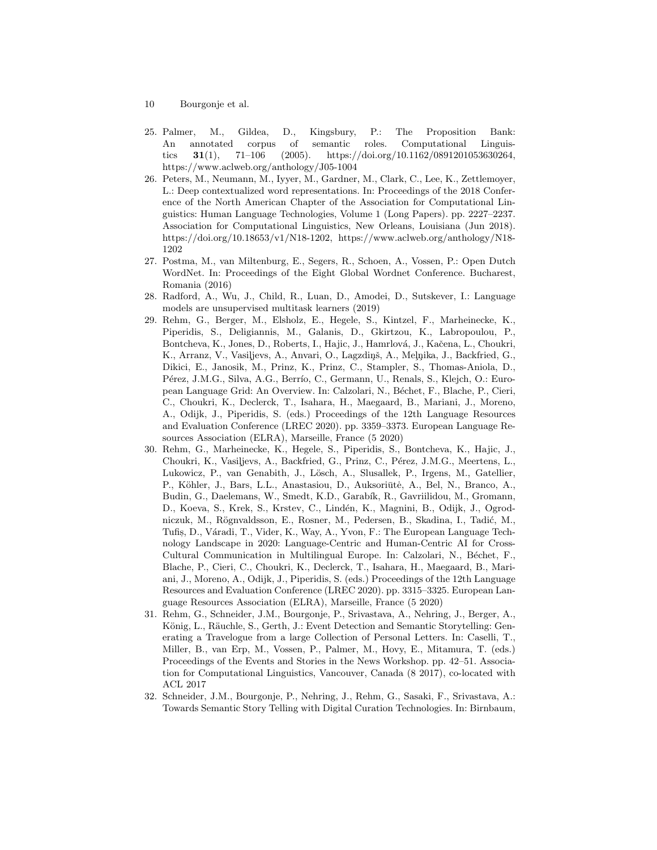- 10 Bourgonje et al.
- 25. Palmer, M., Gildea, D., Kingsbury, P.: The Proposition Bank: An annotated corpus of semantic roles. Computational Linguistics 31(1), 71–106 (2005). https://doi.org/10.1162/0891201053630264, https://www.aclweb.org/anthology/J05-1004
- 26. Peters, M., Neumann, M., Iyyer, M., Gardner, M., Clark, C., Lee, K., Zettlemoyer, L.: Deep contextualized word representations. In: Proceedings of the 2018 Conference of the North American Chapter of the Association for Computational Linguistics: Human Language Technologies, Volume 1 (Long Papers). pp. 2227–2237. Association for Computational Linguistics, New Orleans, Louisiana (Jun 2018). https://doi.org/10.18653/v1/N18-1202, https://www.aclweb.org/anthology/N18- 1202
- 27. Postma, M., van Miltenburg, E., Segers, R., Schoen, A., Vossen, P.: Open Dutch WordNet. In: Proceedings of the Eight Global Wordnet Conference. Bucharest, Romania (2016)
- 28. Radford, A., Wu, J., Child, R., Luan, D., Amodei, D., Sutskever, I.: Language models are unsupervised multitask learners (2019)
- 29. Rehm, G., Berger, M., Elsholz, E., Hegele, S., Kintzel, F., Marheinecke, K., Piperidis, S., Deligiannis, M., Galanis, D., Gkirtzou, K., Labropoulou, P., Bontcheva, K., Jones, D., Roberts, I., Hajic, J., Hamrlová, J., Kačena, L., Choukri, K., Arranz, V., Vasiljevs, A., Anvari, O., Lagzdiņš, A., Melņika, J., Backfried, G., Dikici, E., Janosik, M., Prinz, K., Prinz, C., Stampler, S., Thomas-Aniola, D., Pérez, J.M.G., Silva, A.G., Berrío, C., Germann, U., Renals, S., Klejch, O.: European Language Grid: An Overview. In: Calzolari, N., Béchet, F., Blache, P., Cieri, C., Choukri, K., Declerck, T., Isahara, H., Maegaard, B., Mariani, J., Moreno, A., Odijk, J., Piperidis, S. (eds.) Proceedings of the 12th Language Resources and Evaluation Conference (LREC 2020). pp. 3359–3373. European Language Resources Association (ELRA), Marseille, France (5 2020)
- 30. Rehm, G., Marheinecke, K., Hegele, S., Piperidis, S., Bontcheva, K., Hajic, J., Choukri, K., Vasiljevs, A., Backfried, G., Prinz, C., Pérez, J.M.G., Meertens, L., Lukowicz, P., van Genabith, J., Lösch, A., Slusallek, P., Irgens, M., Gatellier, P., Köhler, J., Bars, L.L., Anastasiou, D., Auksoriūtė, A., Bel, N., Branco, A., Budin, G., Daelemans, W., Smedt, K.D., Garabík, R., Gavriilidou, M., Gromann, D., Koeva, S., Krek, S., Krstev, C., Lindén, K., Magnini, B., Odijk, J., Ogrodniczuk, M., Rögnvaldsson, E., Rosner, M., Pedersen, B., Skadina, I., Tadić, M., Tufis, D., Váradi, T., Vider, K., Way, A., Yvon, F.: The European Language Technology Landscape in 2020: Language-Centric and Human-Centric AI for Cross-Cultural Communication in Multilingual Europe. In: Calzolari, N., Béchet, F., Blache, P., Cieri, C., Choukri, K., Declerck, T., Isahara, H., Maegaard, B., Mariani, J., Moreno, A., Odijk, J., Piperidis, S. (eds.) Proceedings of the 12th Language Resources and Evaluation Conference (LREC 2020). pp. 3315–3325. European Language Resources Association (ELRA), Marseille, France (5 2020)
- 31. Rehm, G., Schneider, J.M., Bourgonje, P., Srivastava, A., Nehring, J., Berger, A., König, L., Räuchle, S., Gerth, J.: Event Detection and Semantic Storytelling: Generating a Travelogue from a large Collection of Personal Letters. In: Caselli, T., Miller, B., van Erp, M., Vossen, P., Palmer, M., Hovy, E., Mitamura, T. (eds.) Proceedings of the Events and Stories in the News Workshop. pp. 42–51. Association for Computational Linguistics, Vancouver, Canada (8 2017), co-located with ACL 2017
- 32. Schneider, J.M., Bourgonje, P., Nehring, J., Rehm, G., Sasaki, F., Srivastava, A.: Towards Semantic Story Telling with Digital Curation Technologies. In: Birnbaum,